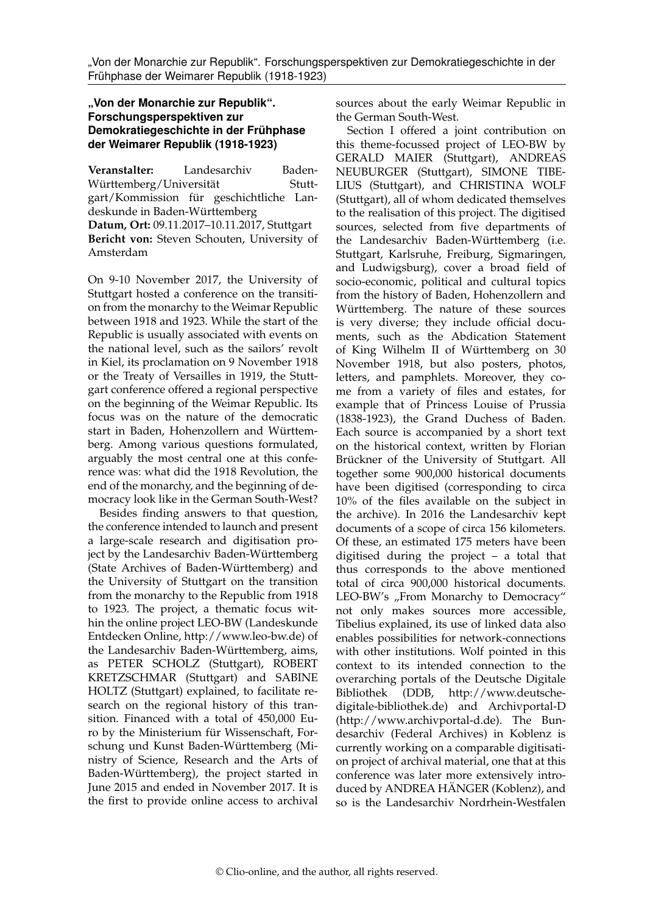## **"Von der Monarchie zur Republik". Forschungsperspektiven zur Demokratiegeschichte in der Frühphase der Weimarer Republik (1918-1923)**

**Veranstalter:** Landesarchiv Baden-<br>Württemberg/Universität Stutt-Württemberg/Universität gart/Kommission für geschichtliche Landeskunde in Baden-Württemberg **Datum, Ort:** 09.11.2017–10.11.2017, Stuttgart **Bericht von:** Steven Schouten, University of Amsterdam

On 9-10 November 2017, the University of Stuttgart hosted a conference on the transition from the monarchy to the Weimar Republic between 1918 and 1923. While the start of the Republic is usually associated with events on the national level, such as the sailors' revolt in Kiel, its proclamation on 9 November 1918 or the Treaty of Versailles in 1919, the Stuttgart conference offered a regional perspective on the beginning of the Weimar Republic. Its focus was on the nature of the democratic start in Baden, Hohenzollern and Württemberg. Among various questions formulated, arguably the most central one at this conference was: what did the 1918 Revolution, the end of the monarchy, and the beginning of democracy look like in the German South-West?

Besides finding answers to that question, the conference intended to launch and present a large-scale research and digitisation project by the Landesarchiv Baden-Württemberg (State Archives of Baden-Württemberg) and the University of Stuttgart on the transition from the monarchy to the Republic from 1918 to 1923. The project, a thematic focus within the online project LEO-BW (Landeskunde Entdecken Online, [http://www.leo-bw.de\)](http://www.leo-bw.de/) of the Landesarchiv Baden-Württemberg, aims, as PETER SCHOLZ (Stuttgart), ROBERT KRETZSCHMAR (Stuttgart) and SABINE HOLTZ (Stuttgart) explained, to facilitate research on the regional history of this transition. Financed with a total of 450,000 Euro by the Ministerium für Wissenschaft, Forschung und Kunst Baden-Württemberg (Ministry of Science, Research and the Arts of Baden-Württemberg), the project started in June 2015 and ended in November 2017. It is the first to provide online access to archival sources about the early Weimar Republic in the German South-West.

Section I offered a joint contribution on this theme-focussed project of LEO-BW by GERALD MAIER (Stuttgart), ANDREAS NEUBURGER (Stuttgart), SIMONE TIBE-LIUS (Stuttgart), and CHRISTINA WOLF (Stuttgart), all of whom dedicated themselves to the realisation of this project. The digitised sources, selected from five departments of the Landesarchiv Baden-Württemberg (i.e. Stuttgart, Karlsruhe, Freiburg, Sigmaringen, and Ludwigsburg), cover a broad field of socio-economic, political and cultural topics from the history of Baden, Hohenzollern and Württemberg. The nature of these sources is very diverse; they include official documents, such as the Abdication Statement of King Wilhelm II of Württemberg on 30 November 1918, but also posters, photos, letters, and pamphlets. Moreover, they come from a variety of files and estates, for example that of Princess Louise of Prussia (1838-1923), the Grand Duchess of Baden. Each source is accompanied by a short text on the historical context, written by Florian Brückner of the University of Stuttgart. All together some 900,000 historical documents have been digitised (corresponding to circa 10% of the files available on the subject in the archive). In 2016 the Landesarchiv kept documents of a scope of circa 156 kilometers. Of these, an estimated 175 meters have been digitised during the project – a total that thus corresponds to the above mentioned total of circa 900,000 historical documents. LEO-BW's "From Monarchy to Democracy" not only makes sources more accessible, Tibelius explained, its use of linked data also enables possibilities for network-connections with other institutions. Wolf pointed in this context to its intended connection to the overarching portals of the Deutsche Digitale Bibliothek (DDB, [http://www.deutsche](http://www.deutsche-digitale-bibliothek.de/)[digitale-bibliothek.de\)](http://www.deutsche-digitale-bibliothek.de/) and Archivportal-D [\(http://www.archivportal-d.de\)](http://www.archivportal-d.de/). The Bundesarchiv (Federal Archives) in Koblenz is currently working on a comparable digitisation project of archival material, one that at this conference was later more extensively introduced by ANDREA HÄNGER (Koblenz), and so is the Landesarchiv Nordrhein-Westfalen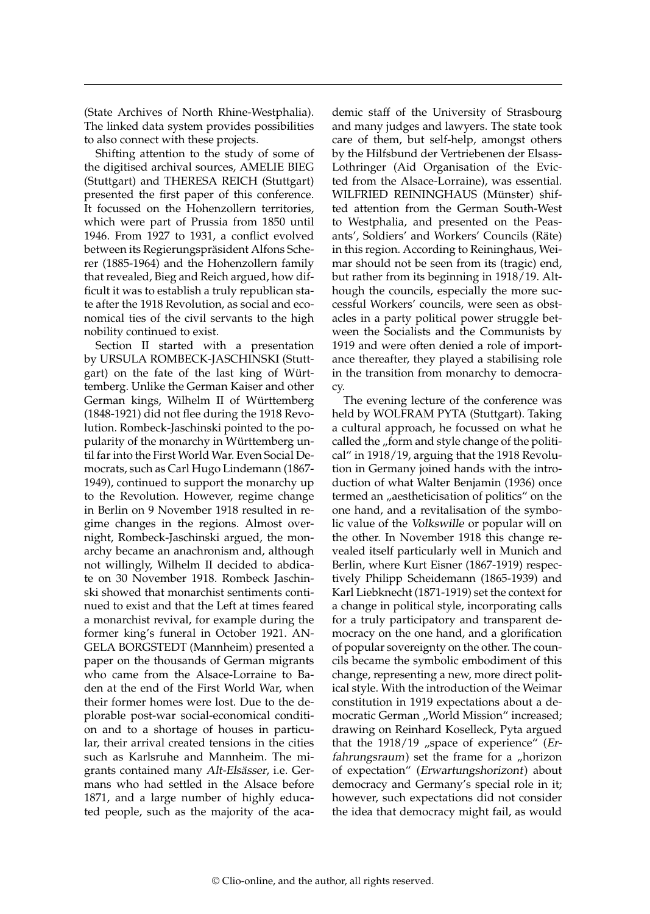(State Archives of North Rhine-Westphalia). The linked data system provides possibilities to also connect with these projects.

Shifting attention to the study of some of the digitised archival sources, AMELIE BIEG (Stuttgart) and THERESA REICH (Stuttgart) presented the first paper of this conference. It focussed on the Hohenzollern territories, which were part of Prussia from 1850 until 1946. From 1927 to 1931, a conflict evolved between its Regierungspräsident Alfons Scherer (1885-1964) and the Hohenzollern family that revealed, Bieg and Reich argued, how difficult it was to establish a truly republican state after the 1918 Revolution, as social and economical ties of the civil servants to the high nobility continued to exist.

Section II started with a presentation by URSULA ROMBECK-JASCHINSKI (Stuttgart) on the fate of the last king of Württemberg. Unlike the German Kaiser and other German kings, Wilhelm II of Württemberg (1848-1921) did not flee during the 1918 Revolution. Rombeck-Jaschinski pointed to the popularity of the monarchy in Württemberg until far into the First World War. Even Social Democrats, such as Carl Hugo Lindemann (1867- 1949), continued to support the monarchy up to the Revolution. However, regime change in Berlin on 9 November 1918 resulted in regime changes in the regions. Almost overnight, Rombeck-Jaschinski argued, the monarchy became an anachronism and, although not willingly, Wilhelm II decided to abdicate on 30 November 1918. Rombeck Jaschinski showed that monarchist sentiments continued to exist and that the Left at times feared a monarchist revival, for example during the former king's funeral in October 1921. AN-GELA BORGSTEDT (Mannheim) presented a paper on the thousands of German migrants who came from the Alsace-Lorraine to Baden at the end of the First World War, when their former homes were lost. Due to the deplorable post-war social-economical condition and to a shortage of houses in particular, their arrival created tensions in the cities such as Karlsruhe and Mannheim. The migrants contained many Alt-Elsässer, i.e. Germans who had settled in the Alsace before 1871, and a large number of highly educated people, such as the majority of the academic staff of the University of Strasbourg and many judges and lawyers. The state took care of them, but self-help, amongst others by the Hilfsbund der Vertriebenen der Elsass-Lothringer (Aid Organisation of the Evicted from the Alsace-Lorraine), was essential. WILFRIED REININGHAUS (Münster) shifted attention from the German South-West to Westphalia, and presented on the Peasants', Soldiers' and Workers' Councils (Räte) in this region. According to Reininghaus, Weimar should not be seen from its (tragic) end, but rather from its beginning in 1918/19. Although the councils, especially the more successful Workers' councils, were seen as obstacles in a party political power struggle between the Socialists and the Communists by 1919 and were often denied a role of importance thereafter, they played a stabilising role in the transition from monarchy to democracy.

The evening lecture of the conference was held by WOLFRAM PYTA (Stuttgart). Taking a cultural approach, he focussed on what he called the "form and style change of the political" in 1918/19, arguing that the 1918 Revolution in Germany joined hands with the introduction of what Walter Benjamin (1936) once termed an "aestheticisation of politics" on the one hand, and a revitalisation of the symbolic value of the Volkswille or popular will on the other. In November 1918 this change revealed itself particularly well in Munich and Berlin, where Kurt Eisner (1867-1919) respectively Philipp Scheidemann (1865-1939) and Karl Liebknecht (1871-1919) set the context for a change in political style, incorporating calls for a truly participatory and transparent democracy on the one hand, and a glorification of popular sovereignty on the other. The councils became the symbolic embodiment of this change, representing a new, more direct political style. With the introduction of the Weimar constitution in 1919 expectations about a democratic German "World Mission" increased; drawing on Reinhard Koselleck, Pyta argued that the  $1918/19$  "space of experience" (Erfahrungsraum) set the frame for a "horizon of expectation" (Erwartungshorizont) about democracy and Germany's special role in it; however, such expectations did not consider the idea that democracy might fail, as would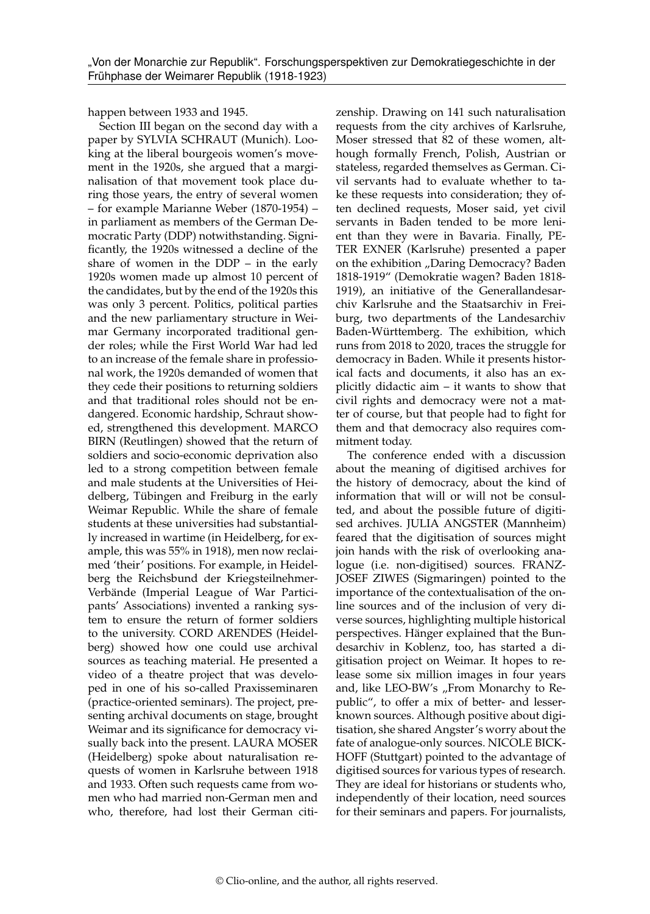happen between 1933 and 1945.

Section III began on the second day with a paper by SYLVIA SCHRAUT (Munich). Looking at the liberal bourgeois women's movement in the 1920s, she argued that a marginalisation of that movement took place during those years, the entry of several women – for example Marianne Weber (1870-1954) – in parliament as members of the German Democratic Party (DDP) notwithstanding. Significantly, the 1920s witnessed a decline of the share of women in the DDP – in the early 1920s women made up almost 10 percent of the candidates, but by the end of the 1920s this was only 3 percent. Politics, political parties and the new parliamentary structure in Weimar Germany incorporated traditional gender roles; while the First World War had led to an increase of the female share in professional work, the 1920s demanded of women that they cede their positions to returning soldiers and that traditional roles should not be endangered. Economic hardship, Schraut showed, strengthened this development. MARCO BIRN (Reutlingen) showed that the return of soldiers and socio-economic deprivation also led to a strong competition between female and male students at the Universities of Heidelberg, Tübingen and Freiburg in the early Weimar Republic. While the share of female students at these universities had substantially increased in wartime (in Heidelberg, for example, this was 55% in 1918), men now reclaimed 'their' positions. For example, in Heidelberg the Reichsbund der Kriegsteilnehmer-Verbände (Imperial League of War Participants' Associations) invented a ranking system to ensure the return of former soldiers to the university. CORD ARENDES (Heidelberg) showed how one could use archival sources as teaching material. He presented a video of a theatre project that was developed in one of his so-called Praxisseminaren (practice-oriented seminars). The project, presenting archival documents on stage, brought Weimar and its significance for democracy visually back into the present. LAURA MOSER (Heidelberg) spoke about naturalisation requests of women in Karlsruhe between 1918 and 1933. Often such requests came from women who had married non-German men and who, therefore, had lost their German citizenship. Drawing on 141 such naturalisation requests from the city archives of Karlsruhe, Moser stressed that 82 of these women, although formally French, Polish, Austrian or stateless, regarded themselves as German. Civil servants had to evaluate whether to take these requests into consideration; they often declined requests, Moser said, yet civil servants in Baden tended to be more lenient than they were in Bavaria. Finally, PE-TER EXNER (Karlsruhe) presented a paper on the exhibition "Daring Democracy? Baden 1818-1919" (Demokratie wagen? Baden 1818- 1919), an initiative of the Generallandesarchiv Karlsruhe and the Staatsarchiv in Freiburg, two departments of the Landesarchiv Baden-Württemberg. The exhibition, which runs from 2018 to 2020, traces the struggle for democracy in Baden. While it presents historical facts and documents, it also has an explicitly didactic aim – it wants to show that civil rights and democracy were not a matter of course, but that people had to fight for them and that democracy also requires commitment today.

The conference ended with a discussion about the meaning of digitised archives for the history of democracy, about the kind of information that will or will not be consulted, and about the possible future of digitised archives. JULIA ANGSTER (Mannheim) feared that the digitisation of sources might join hands with the risk of overlooking analogue (i.e. non-digitised) sources. FRANZ-JOSEF ZIWES (Sigmaringen) pointed to the importance of the contextualisation of the online sources and of the inclusion of very diverse sources, highlighting multiple historical perspectives. Hänger explained that the Bundesarchiv in Koblenz, too, has started a digitisation project on Weimar. It hopes to release some six million images in four years and, like LEO-BW's "From Monarchy to Republic", to offer a mix of better- and lesserknown sources. Although positive about digitisation, she shared Angster's worry about the fate of analogue-only sources. NICOLE BICK-HOFF (Stuttgart) pointed to the advantage of digitised sources for various types of research. They are ideal for historians or students who, independently of their location, need sources for their seminars and papers. For journalists,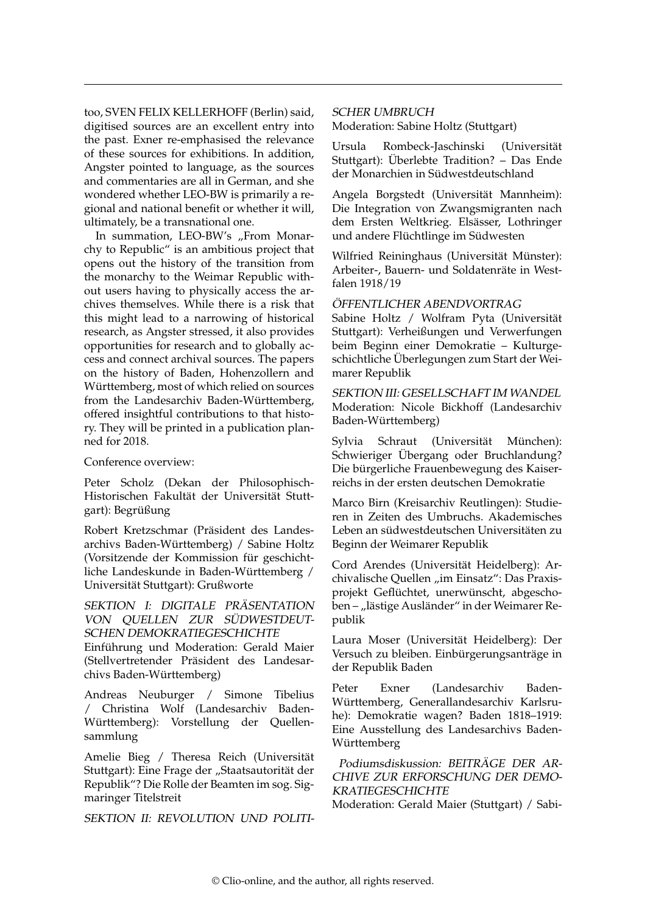too, SVEN FELIX KELLERHOFF (Berlin) said, digitised sources are an excellent entry into the past. Exner re-emphasised the relevance of these sources for exhibitions. In addition, Angster pointed to language, as the sources and commentaries are all in German, and she wondered whether LEO-BW is primarily a regional and national benefit or whether it will, ultimately, be a transnational one.

In summation, LEO-BW's "From Monarchy to Republic" is an ambitious project that opens out the history of the transition from the monarchy to the Weimar Republic without users having to physically access the archives themselves. While there is a risk that this might lead to a narrowing of historical research, as Angster stressed, it also provides opportunities for research and to globally access and connect archival sources. The papers on the history of Baden, Hohenzollern and Württemberg, most of which relied on sources from the Landesarchiv Baden-Württemberg, offered insightful contributions to that history. They will be printed in a publication planned for 2018.

Conference overview:

Peter Scholz (Dekan der Philosophisch-Historischen Fakultät der Universität Stuttgart): Begrüßung

Robert Kretzschmar (Präsident des Landesarchivs Baden-Württemberg) / Sabine Holtz (Vorsitzende der Kommission für geschichtliche Landeskunde in Baden-Württemberg / Universität Stuttgart): Grußworte

## SEKTION I: DIGITALE PRÄSENTATION VON QUELLEN ZUR SÜDWESTDEUT-SCHEN DEMOKRATIEGESCHICHTE

Einführung und Moderation: Gerald Maier (Stellvertretender Präsident des Landesarchivs Baden-Württemberg)

Andreas Neuburger / Simone Tibelius / Christina Wolf (Landesarchiv Baden-Württemberg): Vorstellung der Quellensammlung

Amelie Bieg / Theresa Reich (Universität Stuttgart): Eine Frage der "Staatsautorität der Republik"? Die Rolle der Beamten im sog. Sigmaringer Titelstreit

SEKTION II: REVOLUTION UND POLITI-

## SCHER UMBRUCH Moderation: Sabine Holtz (Stuttgart)

Ursula Rombeck-Jaschinski (Universität Stuttgart): Überlebte Tradition? – Das Ende der Monarchien in Südwestdeutschland

Angela Borgstedt (Universität Mannheim): Die Integration von Zwangsmigranten nach dem Ersten Weltkrieg. Elsässer, Lothringer und andere Flüchtlinge im Südwesten

Wilfried Reininghaus (Universität Münster): Arbeiter-, Bauern- und Soldatenräte in Westfalen 1918/19

ÖFFENTLICHER ABENDVORTRAG

Sabine Holtz / Wolfram Pyta (Universität Stuttgart): Verheißungen und Verwerfungen beim Beginn einer Demokratie – Kulturgeschichtliche Überlegungen zum Start der Weimarer Republik

SEKTION III: GESELLSCHAFT IM WANDEL Moderation: Nicole Bickhoff (Landesarchiv Baden-Württemberg)

Sylvia Schraut (Universität München): Schwieriger Übergang oder Bruchlandung? Die bürgerliche Frauenbewegung des Kaiserreichs in der ersten deutschen Demokratie

Marco Birn (Kreisarchiv Reutlingen): Studieren in Zeiten des Umbruchs. Akademisches Leben an südwestdeutschen Universitäten zu Beginn der Weimarer Republik

Cord Arendes (Universität Heidelberg): Archivalische Quellen "im Einsatz": Das Praxisprojekt Geflüchtet, unerwünscht, abgeschoben – "lästige Ausländer" in der Weimarer Republik

Laura Moser (Universität Heidelberg): Der Versuch zu bleiben. Einbürgerungsanträge in der Republik Baden

Peter Exner (Landesarchiv Baden-Württemberg, Generallandesarchiv Karlsruhe): Demokratie wagen? Baden 1818–1919: Eine Ausstellung des Landesarchivs Baden-Württemberg

Podiumsdiskussion: BEITRÄGE DER AR-CHIVE ZUR ERFORSCHUNG DER DEMO-KRATIEGESCHICHTE

Moderation: Gerald Maier (Stuttgart) / Sabi-